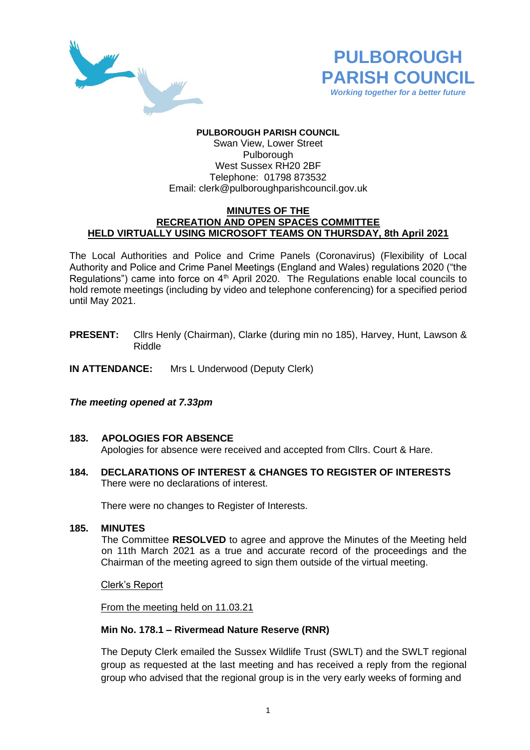



### **PULBOROUGH PARISH COUNCIL**

Swan View, Lower Street **Pulborough** West Sussex RH20 2BF Telephone: 01798 873532 Email: [clerk@pulboroughparishcouncil.gov.uk](mailto:clerk@pulboroughparishcouncil.gov.uk)

#### **MINUTES OF THE RECREATION AND OPEN SPACES COMMITTEE HELD VIRTUALLY USING MICROSOFT TEAMS ON THURSDAY, 8th April 2021**

The Local Authorities and Police and Crime Panels (Coronavirus) (Flexibility of Local Authority and Police and Crime Panel Meetings (England and Wales) regulations 2020 ("the Regulations") came into force on  $4<sup>th</sup>$  April 2020. The Regulations enable local councils to hold remote meetings (including by video and telephone conferencing) for a specified period until May 2021.

- **PRESENT:** Cllrs Henly (Chairman), Clarke (during min no 185), Harvey, Hunt, Lawson & Riddle
- **IN ATTENDANCE:** Mrs L Underwood (Deputy Clerk)

#### *The meeting opened at 7.33pm*

- **183. APOLOGIES FOR ABSENCE** Apologies for absence were received and accepted from Cllrs. Court & Hare.
- **184. DECLARATIONS OF INTEREST & CHANGES TO REGISTER OF INTERESTS** There were no declarations of interest.

There were no changes to Register of Interests.

**185. MINUTES** 

The Committee **RESOLVED** to agree and approve the Minutes of the Meeting held on 11th March 2021 as a true and accurate record of the proceedings and the Chairman of the meeting agreed to sign them outside of the virtual meeting.

Clerk's Report

From the meeting held on 11.03.21

#### **Min No. 178.1 – Rivermead Nature Reserve (RNR)**

The Deputy Clerk emailed the Sussex Wildlife Trust (SWLT) and the SWLT regional group as requested at the last meeting and has received a reply from the regional group who advised that the regional group is in the very early weeks of forming and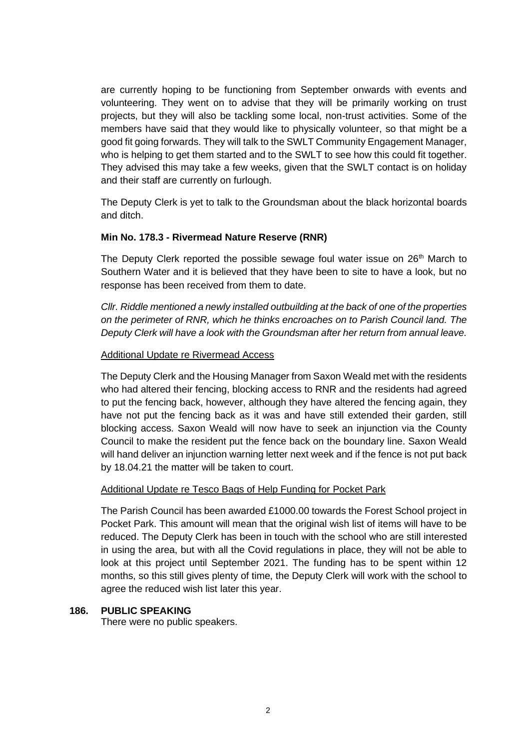are currently hoping to be functioning from September onwards with events and volunteering. They went on to advise that they will be primarily working on trust projects, but they will also be tackling some local, non-trust activities. Some of the members have said that they would like to physically volunteer, so that might be a good fit going forwards. They will talk to the SWLT Community Engagement Manager, who is helping to get them started and to the SWLT to see how this could fit together. They advised this may take a few weeks, given that the SWLT contact is on holiday and their staff are currently on furlough.

The Deputy Clerk is yet to talk to the Groundsman about the black horizontal boards and ditch.

## **Min No. 178.3 - Rivermead Nature Reserve (RNR)**

The Deputy Clerk reported the possible sewage foul water issue on  $26<sup>th</sup>$  March to Southern Water and it is believed that they have been to site to have a look, but no response has been received from them to date.

*Cllr. Riddle mentioned a newly installed outbuilding at the back of one of the properties on the perimeter of RNR, which he thinks encroaches on to Parish Council land. The Deputy Clerk will have a look with the Groundsman after her return from annual leave.*

## Additional Update re Rivermead Access

The Deputy Clerk and the Housing Manager from Saxon Weald met with the residents who had altered their fencing, blocking access to RNR and the residents had agreed to put the fencing back, however, although they have altered the fencing again, they have not put the fencing back as it was and have still extended their garden, still blocking access. Saxon Weald will now have to seek an injunction via the County Council to make the resident put the fence back on the boundary line. Saxon Weald will hand deliver an injunction warning letter next week and if the fence is not put back by 18.04.21 the matter will be taken to court.

## Additional Update re Tesco Bags of Help Funding for Pocket Park

The Parish Council has been awarded £1000.00 towards the Forest School project in Pocket Park. This amount will mean that the original wish list of items will have to be reduced. The Deputy Clerk has been in touch with the school who are still interested in using the area, but with all the Covid regulations in place, they will not be able to look at this project until September 2021. The funding has to be spent within 12 months, so this still gives plenty of time, the Deputy Clerk will work with the school to agree the reduced wish list later this year.

## **186. PUBLIC SPEAKING**

There were no public speakers.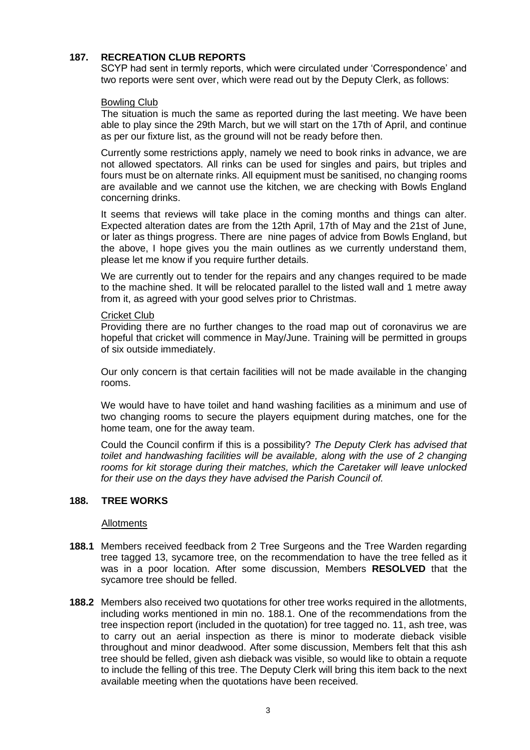## **187. RECREATION CLUB REPORTS**

SCYP had sent in termly reports, which were circulated under 'Correspondence' and two reports were sent over, which were read out by the Deputy Clerk, as follows:

### Bowling Club

The situation is much the same as reported during the last meeting. We have been able to play since the 29th March, but we will start on the 17th of April, and continue as per our fixture list, as the ground will not be ready before then.

Currently some restrictions apply, namely we need to book rinks in advance, we are not allowed spectators. All rinks can be used for singles and pairs, but triples and fours must be on alternate rinks. All equipment must be sanitised, no changing rooms are available and we cannot use the kitchen, we are checking with Bowls England concerning drinks.

It seems that reviews will take place in the coming months and things can alter. Expected alteration dates are from the 12th April, 17th of May and the 21st of June, or later as things progress. There are nine pages of advice from Bowls England, but the above, I hope gives you the main outlines as we currently understand them, please let me know if you require further details.

We are currently out to tender for the repairs and any changes required to be made to the machine shed. It will be relocated parallel to the listed wall and 1 metre away from it, as agreed with your good selves prior to Christmas.

#### **Cricket Club**

Providing there are no further changes to the road map out of coronavirus we are hopeful that cricket will commence in May/June. Training will be permitted in groups of six outside immediately.

Our only concern is that certain facilities will not be made available in the changing rooms.

We would have to have toilet and hand washing facilities as a minimum and use of two changing rooms to secure the players equipment during matches, one for the home team, one for the away team.

Could the Council confirm if this is a possibility? *The Deputy Clerk has advised that toilet and handwashing facilities will be available, along with the use of 2 changing rooms for kit storage during their matches, which the Caretaker will leave unlocked for their use on the days they have advised the Parish Council of.*

#### **188. TREE WORKS**

### Allotments

- **188.1** Members received feedback from 2 Tree Surgeons and the Tree Warden regarding tree tagged 13, sycamore tree, on the recommendation to have the tree felled as it was in a poor location. After some discussion, Members **RESOLVED** that the sycamore tree should be felled.
- **188.2** Members also received two quotations for other tree works required in the allotments, including works mentioned in min no. 188.1. One of the recommendations from the tree inspection report (included in the quotation) for tree tagged no. 11, ash tree, was to carry out an aerial inspection as there is minor to moderate dieback visible throughout and minor deadwood. After some discussion, Members felt that this ash tree should be felled, given ash dieback was visible, so would like to obtain a requote to include the felling of this tree. The Deputy Clerk will bring this item back to the next available meeting when the quotations have been received.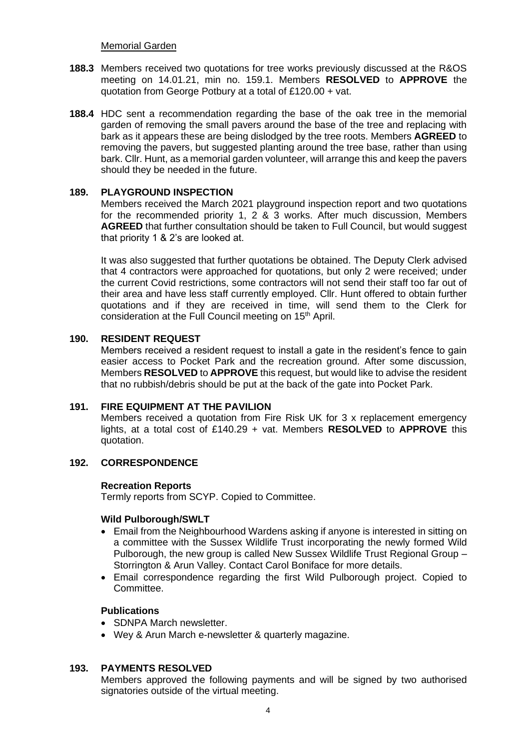Memorial Garden

- **188.3** Members received two quotations for tree works previously discussed at the R&OS meeting on 14.01.21, min no. 159.1. Members **RESOLVED** to **APPROVE** the quotation from George Potbury at a total of £120.00 + vat.
- **188.4** HDC sent a recommendation regarding the base of the oak tree in the memorial garden of removing the small pavers around the base of the tree and replacing with bark as it appears these are being dislodged by the tree roots. Members **AGREED** to removing the pavers, but suggested planting around the tree base, rather than using bark. Cllr. Hunt, as a memorial garden volunteer, will arrange this and keep the pavers should they be needed in the future.

## **189. PLAYGROUND INSPECTION**

Members received the March 2021 playground inspection report and two quotations for the recommended priority 1, 2 & 3 works. After much discussion, Members **AGREED** that further consultation should be taken to Full Council, but would suggest that priority 1 & 2's are looked at.

It was also suggested that further quotations be obtained. The Deputy Clerk advised that 4 contractors were approached for quotations, but only 2 were received; under the current Covid restrictions, some contractors will not send their staff too far out of their area and have less staff currently employed. Cllr. Hunt offered to obtain further quotations and if they are received in time, will send them to the Clerk for consideration at the Full Council meeting on 15<sup>th</sup> April.

## **190. RESIDENT REQUEST**

Members received a resident request to install a gate in the resident's fence to gain easier access to Pocket Park and the recreation ground. After some discussion, Members **RESOLVED** to **APPROVE** this request, but would like to advise the resident that no rubbish/debris should be put at the back of the gate into Pocket Park.

## **191. FIRE EQUIPMENT AT THE PAVILION**

Members received a quotation from Fire Risk UK for 3 x replacement emergency lights, at a total cost of £140.29 + vat. Members **RESOLVED** to **APPROVE** this quotation.

# **192. CORRESPONDENCE**

## **Recreation Reports**

Termly reports from SCYP. Copied to Committee.

## **Wild Pulborough/SWLT**

- Email from the Neighbourhood Wardens asking if anyone is interested in sitting on a committee with the Sussex Wildlife Trust incorporating the newly formed Wild Pulborough, the new group is called New Sussex Wildlife Trust Regional Group – Storrington & Arun Valley. Contact Carol Boniface for more details.
- Email correspondence regarding the first Wild Pulborough project. Copied to Committee.

## **Publications**

- SDNPA March newsletter.
- Wey & Arun March e-newsletter & quarterly magazine.

# **193. PAYMENTS RESOLVED**

Members approved the following payments and will be signed by two authorised signatories outside of the virtual meeting.